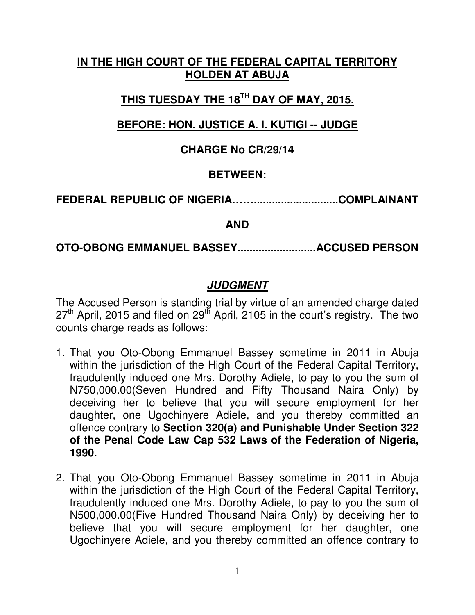### **IN THE HIGH COURT OF THE FEDERAL CAPITAL TERRITORY HOLDEN AT ABUJA**

# **THIS TUESDAY THE 18TH DAY OF MAY, 2015.**

## **BEFORE: HON. JUSTICE A. I. KUTIGI -- JUDGE**

### **CHARGE No CR/29/14**

### **BETWEEN:**

## **FEDERAL REPUBLIC OF NIGERIA……............................COMPLAINANT**

#### **AND**

#### **OTO-OBONG EMMANUEL BASSEY..........................ACCUSED PERSON**

## **JUDGMENT**

The Accused Person is standing trial by virtue of an amended charge dated  $27<sup>th</sup>$  April, 2015 and filed on  $29<sup>th</sup>$  April, 2105 in the court's registry. The two counts charge reads as follows:

- 1. That you Oto-Obong Emmanuel Bassey sometime in 2011 in Abuja within the jurisdiction of the High Court of the Federal Capital Territory, fraudulently induced one Mrs. Dorothy Adiele, to pay to you the sum of N750,000.00(Seven Hundred and Fifty Thousand Naira Only) by deceiving her to believe that you will secure employment for her daughter, one Ugochinyere Adiele, and you thereby committed an offence contrary to **Section 320(a) and Punishable Under Section 322 of the Penal Code Law Cap 532 Laws of the Federation of Nigeria, 1990.**
- 2. That you Oto-Obong Emmanuel Bassey sometime in 2011 in Abuja within the jurisdiction of the High Court of the Federal Capital Territory, fraudulently induced one Mrs. Dorothy Adiele, to pay to you the sum of N500,000.00(Five Hundred Thousand Naira Only) by deceiving her to believe that you will secure employment for her daughter, one Ugochinyere Adiele, and you thereby committed an offence contrary to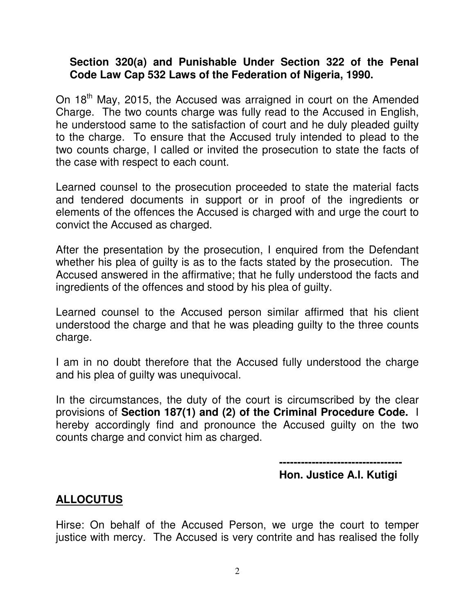#### **Section 320(a) and Punishable Under Section 322 of the Penal Code Law Cap 532 Laws of the Federation of Nigeria, 1990.**

On 18<sup>th</sup> May, 2015, the Accused was arraigned in court on the Amended Charge. The two counts charge was fully read to the Accused in English, he understood same to the satisfaction of court and he duly pleaded guilty to the charge. To ensure that the Accused truly intended to plead to the two counts charge, I called or invited the prosecution to state the facts of the case with respect to each count.

Learned counsel to the prosecution proceeded to state the material facts and tendered documents in support or in proof of the ingredients or elements of the offences the Accused is charged with and urge the court to convict the Accused as charged.

After the presentation by the prosecution, I enquired from the Defendant whether his plea of guilty is as to the facts stated by the prosecution. The Accused answered in the affirmative; that he fully understood the facts and ingredients of the offences and stood by his plea of guilty.

Learned counsel to the Accused person similar affirmed that his client understood the charge and that he was pleading guilty to the three counts charge.

I am in no doubt therefore that the Accused fully understood the charge and his plea of guilty was unequivocal.

In the circumstances, the duty of the court is circumscribed by the clear provisions of **Section 187(1) and (2) of the Criminal Procedure Code.** I hereby accordingly find and pronounce the Accused guilty on the two counts charge and convict him as charged.

> **---------------------------------- Hon. Justice A.I. Kutigi**

### **ALLOCUTUS**

Hirse: On behalf of the Accused Person, we urge the court to temper justice with mercy. The Accused is very contrite and has realised the folly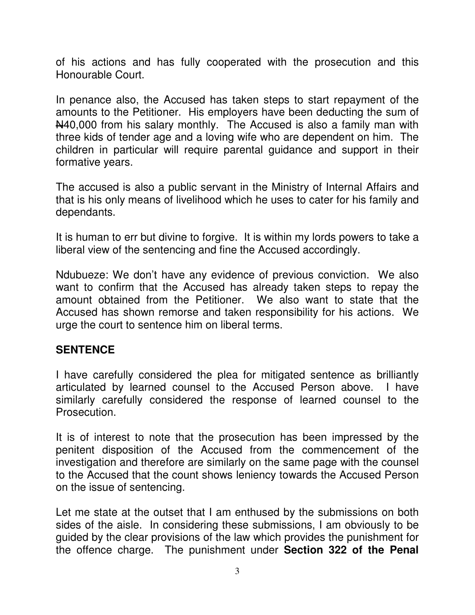of his actions and has fully cooperated with the prosecution and this Honourable Court.

In penance also, the Accused has taken steps to start repayment of the amounts to the Petitioner. His employers have been deducting the sum of N40,000 from his salary monthly. The Accused is also a family man with three kids of tender age and a loving wife who are dependent on him. The children in particular will require parental guidance and support in their formative years.

The accused is also a public servant in the Ministry of Internal Affairs and that is his only means of livelihood which he uses to cater for his family and dependants.

It is human to err but divine to forgive. It is within my lords powers to take a liberal view of the sentencing and fine the Accused accordingly.

Ndubueze: We don't have any evidence of previous conviction. We also want to confirm that the Accused has already taken steps to repay the amount obtained from the Petitioner. We also want to state that the Accused has shown remorse and taken responsibility for his actions. We urge the court to sentence him on liberal terms.

#### **SENTENCE**

I have carefully considered the plea for mitigated sentence as brilliantly articulated by learned counsel to the Accused Person above. I have similarly carefully considered the response of learned counsel to the Prosecution.

It is of interest to note that the prosecution has been impressed by the penitent disposition of the Accused from the commencement of the investigation and therefore are similarly on the same page with the counsel to the Accused that the count shows leniency towards the Accused Person on the issue of sentencing.

Let me state at the outset that I am enthused by the submissions on both sides of the aisle. In considering these submissions, I am obviously to be guided by the clear provisions of the law which provides the punishment for the offence charge. The punishment under **Section 322 of the Penal**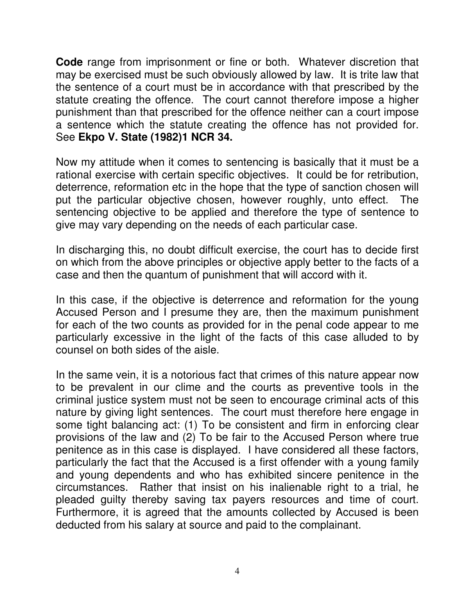**Code** range from imprisonment or fine or both. Whatever discretion that may be exercised must be such obviously allowed by law. It is trite law that the sentence of a court must be in accordance with that prescribed by the statute creating the offence. The court cannot therefore impose a higher punishment than that prescribed for the offence neither can a court impose a sentence which the statute creating the offence has not provided for. See **Ekpo V. State (1982)1 NCR 34.** 

Now my attitude when it comes to sentencing is basically that it must be a rational exercise with certain specific objectives. It could be for retribution, deterrence, reformation etc in the hope that the type of sanction chosen will put the particular objective chosen, however roughly, unto effect. The sentencing objective to be applied and therefore the type of sentence to give may vary depending on the needs of each particular case.

In discharging this, no doubt difficult exercise, the court has to decide first on which from the above principles or objective apply better to the facts of a case and then the quantum of punishment that will accord with it.

In this case, if the objective is deterrence and reformation for the young Accused Person and I presume they are, then the maximum punishment for each of the two counts as provided for in the penal code appear to me particularly excessive in the light of the facts of this case alluded to by counsel on both sides of the aisle.

In the same vein, it is a notorious fact that crimes of this nature appear now to be prevalent in our clime and the courts as preventive tools in the criminal justice system must not be seen to encourage criminal acts of this nature by giving light sentences. The court must therefore here engage in some tight balancing act: (1) To be consistent and firm in enforcing clear provisions of the law and (2) To be fair to the Accused Person where true penitence as in this case is displayed. I have considered all these factors, particularly the fact that the Accused is a first offender with a young family and young dependents and who has exhibited sincere penitence in the circumstances. Rather that insist on his inalienable right to a trial, he pleaded guilty thereby saving tax payers resources and time of court. Furthermore, it is agreed that the amounts collected by Accused is been deducted from his salary at source and paid to the complainant.